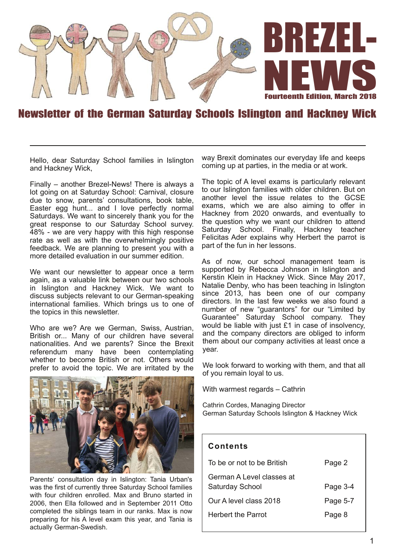

#### Newsletter of the German Saturday Schools Islington and Hackney Wick

Hello, dear Saturday School families in Islington and Hackney Wick,

Finally – another Brezel-News! There is always a lot going on at Saturday School: Carnival, closure due to snow, parents' consultations, book table, Easter egg hunt... and I love perfectly normal Saturdays. We want to sincerely thank you for the great response to our Saturday School survey. 48% - we are very happy with this high response rate as well as with the overwhelmingly positive feedback. We are planning to present you with a more detailed evaluation in our summer edition.

We want our newsletter to appear once a term again, as a valuable link between our two schools in Islington and Hackney Wick. We want to discuss subjects relevant to our German-speaking international families. Which brings us to one of the topics in this newsletter.

Who are we? Are we German, Swiss, Austrian, British or... Many of our children have several nationalities. And we parents? Since the Brexit referendum many have been contemplating whether to become British or not. Others would prefer to avoid the topic. We are irritated by the



Parents' consultation day in Islington: Tania Urban's was the first of currently three Saturday School families with four children enrolled. Max and Bruno started in 2006, then Ella followed and in September 2011 Otto completed the siblings team in our ranks. Max is now preparing for his A level exam this year, and Tania is actually German-Swedish.

way Brexit dominates our everyday life and keeps coming up at parties, in the media or at work.

The topic of A level exams is particularly relevant to our Islington families with older children. But on another level the issue relates to the GCSE exams, which we are also aiming to offer in Hackney from 2020 onwards, and eventually to the question why we want our children to attend Saturday School. Finally, Hackney teacher Felicitas Ader explains why Herbert the parrot is part of the fun in her lessons.

As of now, our school management team is supported by Rebecca Johnson in Islington and Kerstin Klein in Hackney Wick. Since May 2017, Natalie Denby, who has been teaching in Islington since 2013, has been one of our company directors. In the last few weeks we also found a number of new "guarantors" for our "Limited by Guarantee" Saturday School company. They would be liable with just £1 in case of insolvency. and the company directors are obliged to inform them about our company activities at least once a year.

We look forward to working with them, and that all of you remain loyal to us.

With warmest regards – Cathrin

Cathrin Cordes, Managing Director German Saturday Schools Islington & Hackney Wick

#### **Con ten ts**

| To be or not to be British                          | Page 2   |
|-----------------------------------------------------|----------|
| German A Level classes at<br><b>Saturday School</b> | Page 3-4 |
| Our A level class 2018                              | Page 5-7 |
| Herbert the Parrot                                  | Page 8   |
|                                                     |          |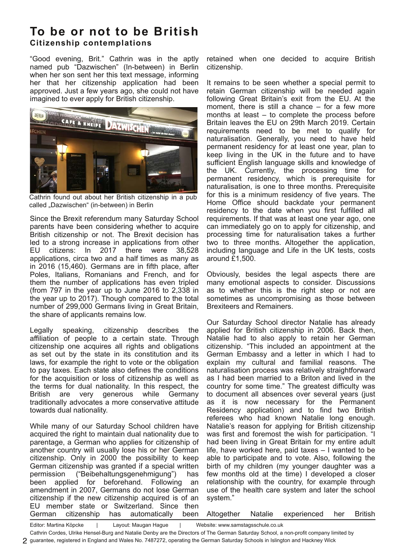## **To be or not to be British Ci tizenship con templa tions**

"Good evening, Brit." Cathrin was in the aptly named pub "Dazwischen" (In-between) in Berlin when her son sent her this text message, informing her that her citizenship application had been approved. Just a few years ago, she could not have imagined to ever apply for British citizenship.



Cathrin found out about her British citizenship in a pub called "Dazwischen" (in-between) in Berlin

Since the Brexit referendum many Saturday School parents have been considering whether to acquire British citizenship or not. The Brexit decision has led to a strong increase in applications from other EU citizens: In 2017 there were 38,528 applications, circa two and a half times as many as in 2016 (15,460). Germans are in fifth place, after Poles, Italians, Romanians and French, and for them the number of applications has even tripled (from 797 in the year up to June 2016 to 2,338 in the year up to 2017). Though compared to the total number of 299,000 Germans living in Great Britain, the share of applicants remains low.

Legally speaking, citizenship describes the affiliation of people to a certain state. Through citizenship one acquires all rights and obligations as set out by the state in its constitution and its laws, for example the right to vote or the obligation to pay taxes. Each state also defines the conditions for the acquisition or loss of citizenship as well as the terms for dual nationality. In this respect, the British are very generous while Germany traditionally advocates a more conservative attitude towards dual nationality.

While many of our Saturday School children have acquired the right to maintain dual nationality due to parentage, a German who applies for citizenship of another country will usually lose his or her German citizenship. Only in 2000 the possibility to keep German citizenship was granted if a special written permission ("Beibehaltungsgenehmigung") has been applied for beforehand. Following an amendment in 2007, Germans do not lose German citizenship if the new citizenship acquired is of an EU member state or Switzerland. Since then German citizenship has automatically been

retained when one decided to acquire British citizenship.

It remains to be seen whether a special permit to retain German citizenship will be needed again following Great Britain's exit from the EU. At the moment, there is still a chance – for a few more months at least – to complete the process before Britain leaves the EU on 29th March 2019. Certain requirements need to be met to qualify for naturalisation. Generally, you need to have held permanent residency for at least one year, plan to keep living in the UK in the future and to have sufficient English language skills and knowledge of the UK. Currently, the processing time for permanent residency, which is prerequisite for naturalisation, is one to three months. Prerequisite for this is a minimum residency of five years. The Home Office should backdate your permanent residency to the date when you first fulfilled all requirements. If that was at least one year ago, one can immediately go on to apply for citizenship, and processing time for naturalisation takes a further two to three months. Altogether the application, including language and Life in the UK tests, costs around £1,500.

Obviously, besides the legal aspects there are many emotional aspects to consider. Discussions as to whether this is the right step or not are sometimes as uncompromising as those between Brexiteers and Remainers.

Our Saturday School director Natalie has already applied for British citizenship in 2006. Back then, Natalie had to also apply to retain her German citizenship. "This included an appointment at the German Embassy and a letter in which I had to explain my cultural and familial reasons. The naturalisation process was relatively straightforward as I had been married to a Briton and lived in the country for some time." The greatest difficulty was to document all absences over several years (just as it is now necessary for the Permanent Residency application) and to find two British referees who had known Natalie long enough. Natalie's reason for applying for British citizenship was first and foremost the wish for participation. "I had been living in Great Britain for my entire adult life, have worked here, paid taxes – I wanted to be able to participate and to vote. Also, following the birth of my children (my younger daughter was a few months old at the time) I developed a closer relationship with the country, for example through use of the health care system and later the school system."

Altogether Natalie experienced her British

Editor: Martina Köpcke | Layout: Maugan Hague | Website: www.samstagsschule.co.uk

Cathrin Cordes, Ulrike Hensel-Burg and Natalie Denby are the Directors of The German Saturday School, a non-profit company limited by

guarantee, registered in England and Wales No. 7487272, operating the German Saturday Schools in Islington and Hackney Wick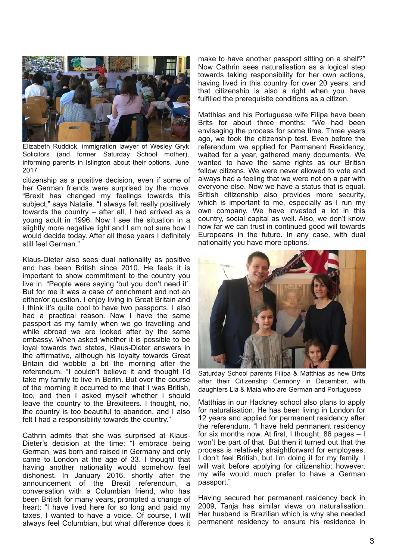

Elizabeth Ruddick, immigration lawyer of Wesley Gryk Solicitors (and former Saturday School mother), informing parents in Islington about their options, June 2017

citizenship as a positive decision, even if some of her German friends were surprised by the move. "Brexit has changed my feelings towards this subject," says Natalie. "I always felt really positively towards the country – after all, I had arrived as a young adult in 1996. Now I see the situation in a slightly more negative light and I am not sure how I would decide today. After all these years I definitely still feel German."

Klaus-Dieter also sees dual nationality as positive and has been British since 2010. He feels it is important to show commitment to the country you live in. "People were saying 'but you don't need it'. But for me it was a case of enrichment and not an either/or question. I enjoy living in Great Britain and I think it's quite cool to have two passports. I also had a practical reason. Now I have the same passport as my family when we go travelling and while abroad we are looked after by the same embassy. When asked whether it is possible to be loyal towards two states, Klaus-Dieter answers in the affirmative, although his loyalty towards Great Britain did wobble a bit the morning after the referendum. "I couldn't believe it and thought I'd take my family to live in Berlin. But over the course of the morning it occurred to me that I was British, too, and then I asked myself whether I should leave the country to the Brexiteers. I thought, no, the country is too beautiful to abandon, and I also felt I had a responsibility towards the country."

Cathrin admits that she was surprised at Klaus-Dieter's decision at the time: "I embrace being German, was born and raised in Germany and only came to London at the age of 33. I thought that having another nationality would somehow feel dishonest. In January 2016, shortly after the announcement of the Brexit referendum, a conversation with a Columbian friend, who has been British for many years, prompted a change of heart: "I have lived here for so long and paid my taxes, I wanted to have a voice. Of course, I will always feel Columbian, but what difference does it make to have another passport sitting on a shelf?" Now Cathrin sees naturalisation as a logical step towards taking responsibility for her own actions, having lived in this country for over 20 years, and that citizenship is also a right when you have fulfilled the prerequisite conditions as a citizen.

Matthias and his Portuguese wife Filipa have been Brits for about three months: "We had been envisaging the process for some time. Three years ago, we took the citizenship test. Even before the referendum we applied for Permanent Residency, waited for a year, gathered many documents. We wanted to have the same rights as our British fellow citizens. We were never allowed to vote and always had a feeling that we were not on a par with everyone else. Now we have a status that is equal. British citizenship also provides more security, which is important to me, especially as I run my own company. We have invested a lot in this country, social capital as well. Also, we don't know how far we can trust in continued good will towards Europeans in the future. In any case, with dual nationality you have more options."



Saturday School parents Filipa & Matthias as new Brits after their Citizenship Cermony in December, with daughters Lia & Maia who are German and Portuguese

Matthias in our Hackney school also plans to apply for naturalisation. He has been living in London for 12 years and applied for permanent residency after the referendum. "I have held permanent residency for six months now. At first, I thought, 86 pages – I won't be part of that. But then it turned out that the process is relatively straightforward for employees. I don't feel British, but I'm doing it for my family. I will wait before applying for citizenship; however, my wife would much prefer to have a German passport."

Having secured her permanent residency back in 2009, Tanja has similar views on naturalisation. Her husband is Brazilian which is why she needed permanent residency to ensure his residence in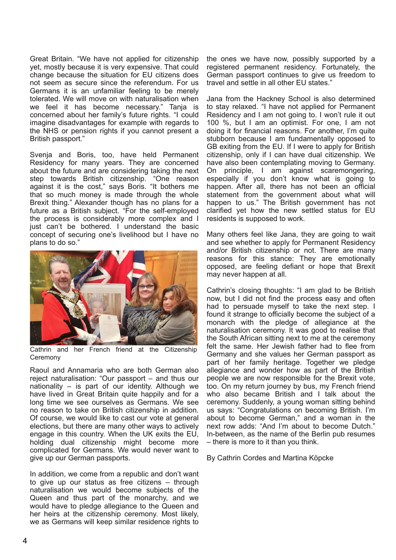Great Britain. "We have not applied for citizenship yet, mostly because it is very expensive. That could change because the situation for EU citizens does not seem as secure since the referendum. For us Germans it is an unfamiliar feeling to be merely tolerated. We will move on with naturalisation when we feel it has become necessary." Tanja is concerned about her family's future rights. "I could imagine disadvantages for example with regards to the NHS or pension rights if you cannot present a British passport."

Svenja and Boris, too, have held Permanent Residency for many years. They are concerned about the future and are considering taking the next step towards British citizenship. "One reason against it is the cost," says Boris. "It bothers me that so much money is made through the whole Brexit thing." Alexander though has no plans for a future as a British subject. "For the self-employed the process is considerably more complex and I just can't be bothered. I understand the basic concept of securing one's livelihood but I have no plans to do so."



Cathrin and her French friend at the Citizenship Ceremony

Raoul and Annamaria who are both German also reject naturalisation: "Our passport – and thus our nationality – is part of our identity. Although we have lived in Great Britain quite happily and for a long time we see ourselves as Germans. We see no reason to take on British citizenship in addition. Of course, we would like to cast our vote at general elections, but there are many other ways to actively engage in this country. When the UK exits the EU, holding dual citizenship might become more complicated for Germans. We would never want to give up our German passports.

In addition, we come from a republic and don't want to give up our status as free citizens – through naturalisation we would become subjects of the Queen and thus part of the monarchy, and we would have to pledge allegiance to the Queen and her heirs at the citizenship ceremony. Most likely, we as Germans will keep similar residence rights to

the ones we have now, possibly supported by a registered permanent residency. Fortunately, the German passport continues to give us freedom to travel and settle in all other EU states."

Jana from the Hackney School is also determined to stay relaxed. "I have not applied for Permanent Residency and I am not going to. I won't rule it out 100 %, but I am an optimist. For one, I am not doing it for financial reasons. For another, I'm quite stubborn because I am fundamentally opposed to GB exiting from the EU. If I were to apply for British citizenship, only if I can have dual citizenship. We have also been contemplating moving to Germany. On principle, I am against scaremongering, especially if you don't know what is going to happen. After all, there has not been an official statement from the government about what will happen to us." The British government has not clarified yet how the new settled status for EU residents is supposed to work.

Many others feel like Jana, they are going to wait and see whether to apply for Permanent Residency and/or British citizenship or not. There are many reasons for this stance: They are emotionally opposed, are feeling defiant or hope that Brexit may never happen at all.

Cathrin's closing thoughts: "I am glad to be British now, but I did not find the process easy and often had to persuade myself to take the next step. I found it strange to officially become the subject of a monarch with the pledge of allegiance at the naturalisation ceremony. It was good to realise that the South African sitting next to me at the ceremony felt the same. Her Jewish father had to flee from Germany and she values her German passport as part of her family heritage. Together we pledge allegiance and wonder how as part of the British people we are now responsible for the Brexit vote, too. On my return journey by bus, my French friend who also became British and I talk about the ceremony. Suddenly, a young woman sitting behind us says: "Congratulations on becoming British. I'm about to become German," and a woman in the next row adds: "And I'm about to become Dutch." In-between, as the name of the Berlin pub resumes – there is more to it than you think.

By Cathrin Cordes and Martina Köpcke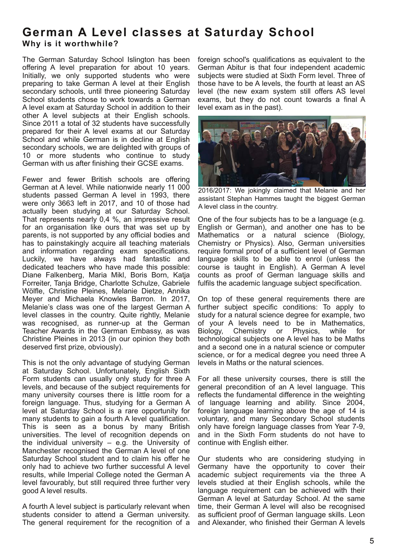# **German A Level classes at Saturday School Why is it worthwhile?**

The German Saturday School Islington has been offering A level preparation for about 10 years. Initially, we only supported students who were preparing to take German A level at their English secondary schools, until three pioneering Saturday School students chose to work towards a German A level exam at Saturday School in addition to their other A level subjects at their English schools. Since 2011 a total of 32 students have successfully prepared for their A level exams at our Saturday School and while German is in decline at English secondary schools, we are delighted with groups of 10 or more students who continue to study German with us after finishing their GCSE exams.

Fewer and fewer British schools are offering German at A level. While nationwide nearly 11 000 students passed German A level in 1993, there were only 3663 left in 2017, and 10 of those had actually been studying at our Saturday School. That represents nearly 0,4 %, an impressive result for an organisation like ours that was set up by parents, is not supported by any official bodies and has to painstakingly acquire all teaching materials and information regarding exam specifications. Luckily, we have always had fantastic and dedicated teachers who have made this possible: Diane Falkenberg, Maria Mikl, Boris Born, Katja Forreiter, Tanja Bridge, Charlotte Schulze, Gabriele Wölfle, Christine Pleines, Melanie Dietze, Annika Meyer and Michaela Knowles Barron. In 2017, Melanie's class was one of the largest German A level classes in the country. Quite rightly, Melanie was recognised, as runner-up at the German Teacher Awards in the German Embassy, as was Christine Pleines in 2013 (in our opinion they both deserved first prize, obviously).

This is not the only advantage of studying German at Saturday School. Unfortunately, English Sixth Form students can usually only study for three A levels, and because of the subject requirements for many university courses there is little room for a foreign language. Thus, studying for a German A level at Saturday School is a rare opportunity for many students to gain a fourth A level qualification. This is seen as a bonus by many British universities. The level of recognition depends on the individual university  $-$  e.g. the University of Manchester recognised the German A level of one Saturday School student and to claim his offer he only had to achieve two further successful A level results, while Imperial College noted the German A level favourably, but still required three further very good A level results.

A fourth A level subject is particularly relevant when students consider to attend a German university. The general requirement for the recognition of a foreign school's qualifications as equivalent to the German Abitur is that four independent academic subjects were studied at Sixth Form level. Three of those have to be A levels, the fourth at least an AS level (the new exam system still offers AS level exams, but they do not count towards a final A level exam as in the past).



2016/2017: We jokingly claimed that Melanie and her assistant Stephan Hammes taught the biggest German A level class in the country.

One of the four subjects has to be a language (e.g. English or German), and another one has to be Mathematics or a natural science (Biology, Chemistry or Physics). Also, German universities require formal proof of a sufficient level of German language skills to be able to enrol (unless the course is taught in English). A German A level counts as proof of German language skills and fulfils the academic language subject specification.

On top of these general requirements there are further subject specific conditions: To apply to study for a natural science degree for example, two of your A levels need to be in Mathematics,<br>Biology, Chemistry or Physics, while for Chemistry or Physics, while for technological subjects one A level has to be Maths and a second one in a natural science or computer science, or for a medical degree you need three A levels in Maths or the natural sciences.

For all these university courses, there is still the general precondition of an A level language. This reflects the fundamental difference in the weighting of language learning and ability. Since 2004, foreign language learning above the age of 14 is voluntary, and many Secondary School students only have foreign language classes from Year 7-9, and in the Sixth Form students do not have to continue with English either.

Our students who are considering studying in Germany have the opportunity to cover their academic subject requirements via the three A levels studied at their English schools, while the language requirement can be achieved with their German A level at Saturday School. At the same time, their German A level will also be recognised as sufficient proof of German language skills. Leon and Alexander, who finished their German A levels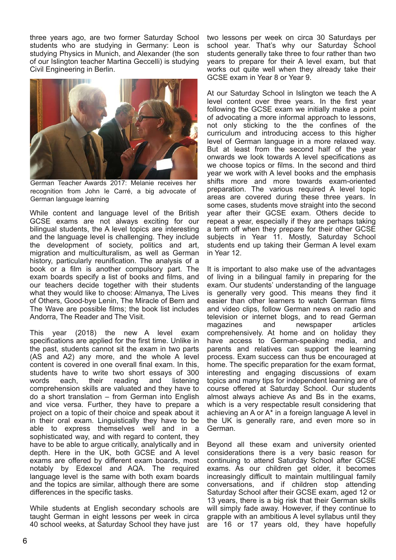three years ago, are two former Saturday School students who are studying in Germany: Leon is studying Physics in Munich, and Alexander (the son of our Islington teacher Martina Geccelli) is studying Civil Engineering in Berlin.



German Teacher Awards 2017: Melanie receives her recognition from John le Carré, a big advocate of German language learning

While content and language level of the British GCSE exams are not always exciting for our bilingual students, the A level topics are interesting and the language level is challenging. They include the development of society, politics and art, migration and multiculturalism, as well as German history, particularly reunification. The analysis of a book or a film is another compulsory part. The exam boards specify a list of books and films, and our teachers decide together with their students what they would like to choose: Almanya, The Lives of Others, Good-bye Lenin, The Miracle of Bern and The Wave are possible films; the book list includes Andorra, The Reader and The Visit.

This year (2018) the new A level exam specifications are applied for the first time. Unlike in the past, students cannot sit the exam in two parts (AS and A2) any more, and the whole A level content is covered in one overall final exam. In this, students have to write two short essays of 300 words each, their reading and listening comprehension skills are valuated and they have to do a short translation – from German into English and vice versa. Further, they have to prepare a project on a topic of their choice and speak about it in their oral exam. Linguistically they have to be able to express themselves well and in a sophisticated way, and with regard to content, they have to be able to argue critically, analytically and in depth. Here in the UK, both GCSE and A level exams are offered by different exam boards, most notably by Edexcel and AQA. The required language level is the same with both exam boards and the topics are similar, although there are some differences in the specific tasks.

While students at English secondary schools are taught German in eight lessons per week in circa 40 school weeks, at Saturday School they have just two lessons per week on circa 30 Saturdays per school year. That's why our Saturday School students generally take three to four rather than two years to prepare for their A level exam, but that works out quite well when they already take their GCSE exam in Year 8 or Year 9.

At our Saturday School in Islington we teach the A level content over three years. In the first year following the GCSE exam we initially make a point of advocating a more informal approach to lessons, not only sticking to the the confines of the curriculum and introducing access to this higher level of German language in a more relaxed way. But at least from the second half of the year onwards we look towards A level specifications as we choose topics or films. In the second and third year we work with A level books and the emphasis shifts more and more towards exam-oriented preparation. The various required A level topic areas are covered during these three years. In some cases, students move straight into the second year after their GCSE exam. Others decide to repeat a year, especially if they are perhaps taking a term off when they prepare for their other GCSE subjects in Year 11. Mostly, Saturday School students end up taking their German A level exam in Year 12.

It is important to also make use of the advantages of living in a bilingual family in preparing for the exam. Our students' understanding of the language is generally very good. This means they find it easier than other learners to watch German films and video clips, follow German news on radio and television or internet blogs, and to read German magazines and newspaper articles comprehensively. At home and on holiday they have access to German-speaking media, and parents and relatives can support the learning process. Exam success can thus be encouraged at home. The specific preparation for the exam format, interesting and engaging discussions of exam topics and many tips for independent learning are of course offered at Saturday School. Our students almost always achieve As and Bs in the exams, which is a very respectable result considering that achieving an A or A\* in a foreign language A level in the UK is generally rare, and even more so in German.

Beyond all these exam and university oriented considerations there is a very basic reason for continuing to attend Saturday School after GCSE exams. As our children get older, it becomes increasingly difficult to maintain multilingual family conversations, and if children stop attending Saturday School after their GCSE exam, aged 12 or 13 years, there is a big risk that their German skills will simply fade away. However, if they continue to grapple with an ambitious A level syllabus until they are 16 or 17 years old, they have hopefully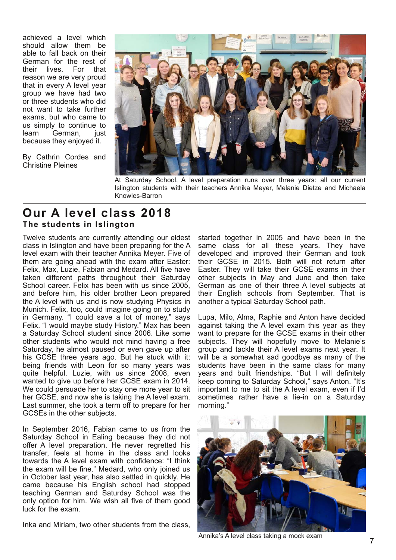achieved a level which should allow them be able to fall back on their German for the rest of<br>their lives. For that lives. For that reason we are very proud that in every A level year group we have had two or three students who did not want to take further exams, but who came to us simply to continue to learn German, just because they enjoyed it.

By Cathrin Cordes and Christine Pleines



At Saturday School, A level preparation runs over three years: all our current Islington students with their teachers Annika Meyer, Melanie Dietze and Michaela Knowles-Barron

### **Our A level class 2018 The students in Islington**

Twelve students are currently attending our eldest class in Islington and have been preparing for the A level exam with their teacher Annika Meyer. Five of them are going ahead with the exam after Easter: Felix, Max, Luzie, Fabian and Medard. All five have taken different paths throughout their Saturday School career. Felix has been with us since 2005, and before him, his older brother Leon prepared the A level with us and is now studying Physics in Munich. Felix, too, could imagine going on to study in Germany. "I could save a lot of money," says Felix. "I would maybe study History." Max has been a Saturday School student since 2006. Like some other students who would not mind having a free Saturday, he almost paused or even gave up after his GCSE three years ago. But he stuck with it; being friends with Leon for so many years was quite helpful. Luzie, with us since 2008, even wanted to give up before her GCSE exam in 2014. We could persuade her to stay one more year to sit her GCSE, and now she is taking the A level exam. Last summer, she took a term off to prepare for her GCSEs in the other subjects.

In September 2016, Fabian came to us from the Saturday School in Ealing because they did not offer A level preparation. He never regretted his transfer, feels at home in the class and looks towards the A level exam with confidence: "I think the exam will be fine." Medard, who only joined us in October last year, has also settled in quickly. He came because his English school had stopped teaching German and Saturday School was the only option for him. We wish all five of them good luck for the exam.

Inka and Miriam, two other students from the class,

started together in 2005 and have been in the same class for all these years. They have developed and improved their German and took their GCSE in 2015. Both will not return after Easter. They will take their GCSE exams in their other subjects in May and June and then take German as one of their three A level subjects at their English schools from September. That is another a typical Saturday School path.

Lupa, Milo, Alma, Raphie and Anton have decided against taking the A level exam this year as they want to prepare for the GCSE exams in their other subjects. They will hopefully move to Melanie's group and tackle their A level exams next year. It will be a somewhat sad goodbye as many of the students have been in the same class for many years and built friendships. "But I will definitely keep coming to Saturday School," says Anton. "It's important to me to sit the A level exam, even if I'd sometimes rather have a lie-in on a Saturday morning."



Annika's A level class taking a mock exam